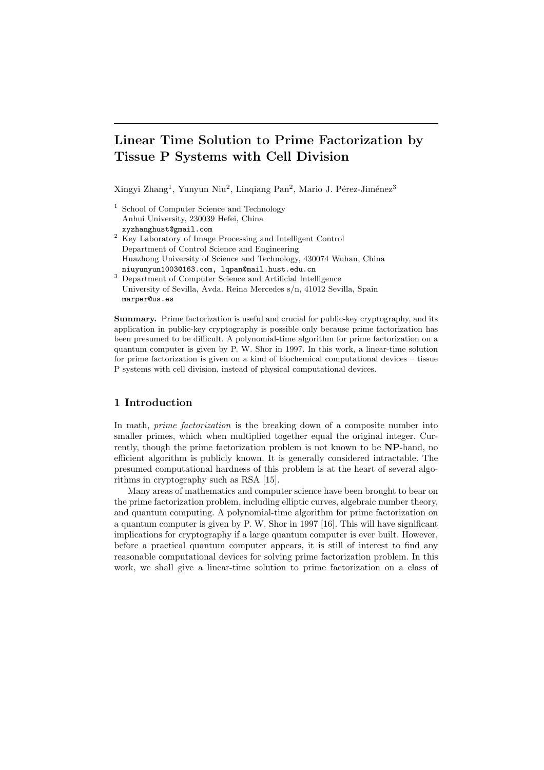# Linear Time Solution to Prime Factorization by Tissue P Systems with Cell Division

Xingyi Zhang<sup>1</sup>, Yunyun Niu<sup>2</sup>, Linqiang Pan<sup>2</sup>, Mario J. Pérez-Jiménez<sup>3</sup>

- <sup>1</sup> School of Computer Science and Technology Anhui University, 230039 Hefei, China xyzhanghust@gmail.com
- <sup>2</sup> Key Laboratory of Image Processing and Intelligent Control Department of Control Science and Engineering Huazhong University of Science and Technology, 430074 Wuhan, China niuyunyun1003@163.com, lqpan@mail.hust.edu.cn
- <sup>3</sup> Department of Computer Science and Artificial Intelligence University of Sevilla, Avda. Reina Mercedes s/n, 41012 Sevilla, Spain marper@us.es

Summary. Prime factorization is useful and crucial for public-key cryptography, and its application in public-key cryptography is possible only because prime factorization has been presumed to be difficult. A polynomial-time algorithm for prime factorization on a quantum computer is given by P. W. Shor in 1997. In this work, a linear-time solution for prime factorization is given on a kind of biochemical computational devices – tissue P systems with cell division, instead of physical computational devices.

# 1 Introduction

In math, *prime factorization* is the breaking down of a composite number into smaller primes, which when multiplied together equal the original integer. Currently, though the prime factorization problem is not known to be NP-hand, no efficient algorithm is publicly known. It is generally considered intractable. The presumed computational hardness of this problem is at the heart of several algorithms in cryptography such as RSA [15].

Many areas of mathematics and computer science have been brought to bear on the prime factorization problem, including elliptic curves, algebraic number theory, and quantum computing. A polynomial-time algorithm for prime factorization on a quantum computer is given by P. W. Shor in 1997 [16]. This will have significant implications for cryptography if a large quantum computer is ever built. However, before a practical quantum computer appears, it is still of interest to find any reasonable computational devices for solving prime factorization problem. In this work, we shall give a linear-time solution to prime factorization on a class of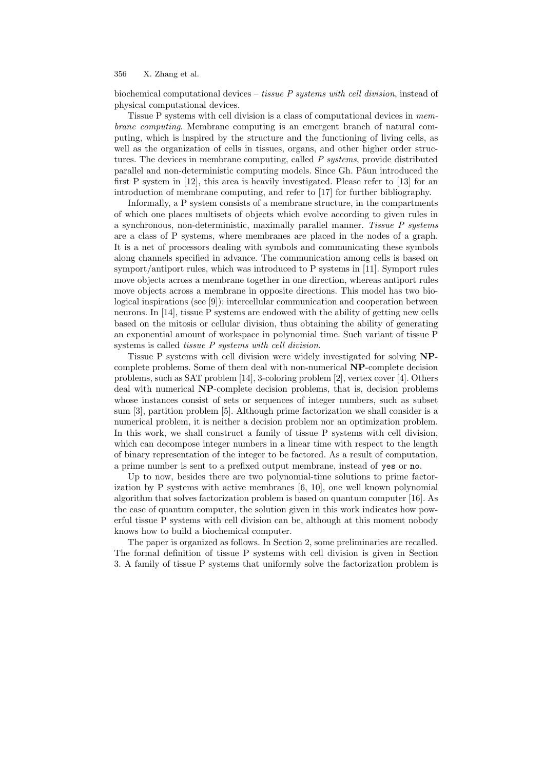biochemical computational devices – tissue  $P$  systems with cell division, instead of physical computational devices.

Tissue P systems with cell division is a class of computational devices in membrane computing. Membrane computing is an emergent branch of natural computing, which is inspired by the structure and the functioning of living cells, as well as the organization of cells in tissues, organs, and other higher order structures. The devices in membrane computing, called  $P$  systems, provide distributed parallel and non-deterministic computing models. Since Gh. Păun introduced the first P system in [12], this area is heavily investigated. Please refer to [13] for an introduction of membrane computing, and refer to [17] for further bibliography.

Informally, a P system consists of a membrane structure, in the compartments of which one places multisets of objects which evolve according to given rules in a synchronous, non-deterministic, maximally parallel manner. Tissue P systems are a class of P systems, where membranes are placed in the nodes of a graph. It is a net of processors dealing with symbols and communicating these symbols along channels specified in advance. The communication among cells is based on symport/antiport rules, which was introduced to P systems in [11]. Symport rules move objects across a membrane together in one direction, whereas antiport rules move objects across a membrane in opposite directions. This model has two biological inspirations (see [9]): intercellular communication and cooperation between neurons. In [14], tissue P systems are endowed with the ability of getting new cells based on the mitosis or cellular division, thus obtaining the ability of generating an exponential amount of workspace in polynomial time. Such variant of tissue P systems is called *tissue P systems with cell division*.

Tissue P systems with cell division were widely investigated for solving NPcomplete problems. Some of them deal with non-numerical NP-complete decision problems, such as SAT problem [14], 3-coloring problem [2], vertex cover [4]. Others deal with numerical NP-complete decision problems, that is, decision problems whose instances consist of sets or sequences of integer numbers, such as subset sum [3], partition problem [5]. Although prime factorization we shall consider is a numerical problem, it is neither a decision problem nor an optimization problem. In this work, we shall construct a family of tissue P systems with cell division, which can decompose integer numbers in a linear time with respect to the length of binary representation of the integer to be factored. As a result of computation, a prime number is sent to a prefixed output membrane, instead of yes or no.

Up to now, besides there are two polynomial-time solutions to prime factorization by P systems with active membranes [6, 10], one well known polynomial algorithm that solves factorization problem is based on quantum computer [16]. As the case of quantum computer, the solution given in this work indicates how powerful tissue P systems with cell division can be, although at this moment nobody knows how to build a biochemical computer.

The paper is organized as follows. In Section 2, some preliminaries are recalled. The formal definition of tissue P systems with cell division is given in Section 3. A family of tissue P systems that uniformly solve the factorization problem is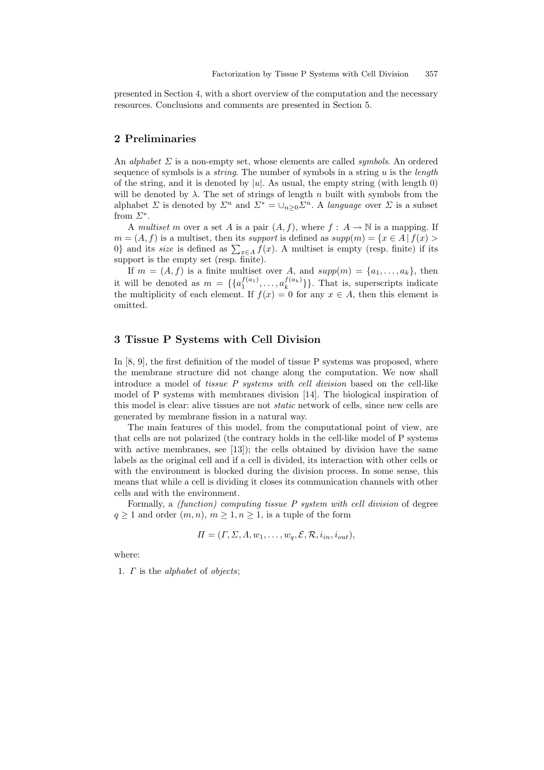presented in Section 4, with a short overview of the computation and the necessary resources. Conclusions and comments are presented in Section 5.

# 2 Preliminaries

An *alphabet*  $\Sigma$  is a non-empty set, whose elements are called *symbols*. An ordered sequence of symbols is a *string*. The number of symbols in a string  $u$  is the *length* of the string, and it is denoted by  $|u|$ . As usual, the empty string (with length 0) will be denoted by  $\lambda$ . The set of strings of length n built with symbols from the alphabet  $\Sigma$  is denoted by  $\Sigma^n$  and  $\Sigma^* = \bigcup_{n>0} \Sigma^n$ . A language over  $\Sigma$  is a subset from  $\Sigma^*$ .

A multiset m over a set A is a pair  $(A, f)$ , where  $f : A \to \mathbb{N}$  is a mapping. If  $m = (A, f)$  is a multiset, then its *support* is defined as  $supp(m) = \{x \in A \mid f(x) >$  $m = (A, J)$  is a multiset, then its *support* is defined as  $supp(m) = \{x \in A | J(x) > 0\}$  and its *size* is defined as  $\sum_{x \in A} f(x)$ . A multiset is empty (resp. finite) if its support is the empty set (resp. finite).

If  $m = (A, f)$  is a finite multiset over A, and  $supp(m) = \{a_1, \ldots, a_k\}$ , then it will be denoted as  $m = \{\{a_1^{f(a_1)}, \ldots, a_k^{f(a_k)}\}\}\.$  That is, superscripts indicate the multiplicity of each element. If  $f(x) = 0$  for any  $x \in A$ , then this element is omitted.

# 3 Tissue P Systems with Cell Division

In [8, 9], the first definition of the model of tissue P systems was proposed, where the membrane structure did not change along the computation. We now shall introduce a model of tissue P systems with cell division based on the cell-like model of P systems with membranes division [14]. The biological inspiration of this model is clear: alive tissues are not *static* network of cells, since new cells are generated by membrane fission in a natural way.

The main features of this model, from the computational point of view, are that cells are not polarized (the contrary holds in the cell-like model of P systems with active membranes, see [13]); the cells obtained by division have the same labels as the original cell and if a cell is divided, its interaction with other cells or with the environment is blocked during the division process. In some sense, this means that while a cell is dividing it closes its communication channels with other cells and with the environment.

Formally, a (function) computing tissue P system with cell division of degree  $q \ge 1$  and order  $(m, n), m \ge 1, n \ge 1$ , is a tuple of the form

$$
\Pi = (\Gamma, \Sigma, \Lambda, w_1, \dots, w_q, \mathcal{E}, \mathcal{R}, i_{in}, i_{out}),
$$

where:

1. Γ is the alphabet of objects;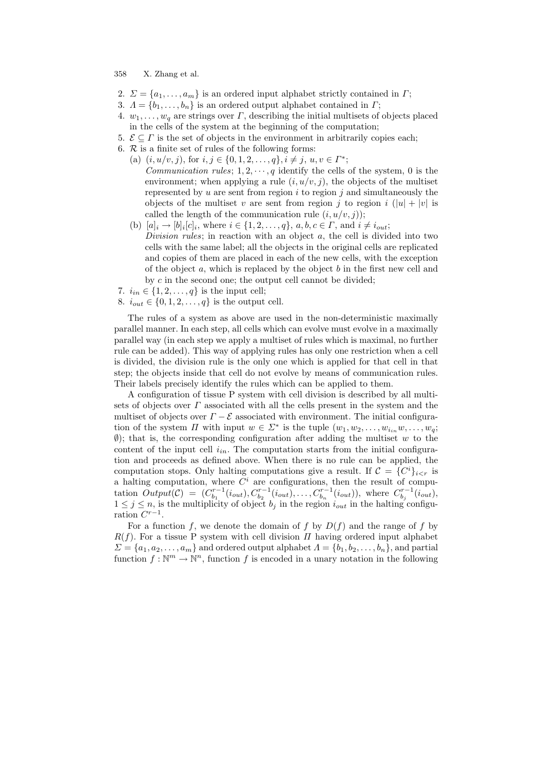- 2.  $\Sigma = \{a_1, \ldots, a_m\}$  is an ordered input alphabet strictly contained in  $\Gamma$ ;
- 3.  $\Lambda = \{b_1, \ldots, b_n\}$  is an ordered output alphabet contained in  $\Gamma$ ;
- 4.  $w_1, \ldots, w_q$  are strings over  $\Gamma$ , describing the initial multisets of objects placed in the cells of the system at the beginning of the computation;
- 5.  $\mathcal{E} \subseteq \Gamma$  is the set of objects in the environment in arbitrarily copies each;
- 6.  $\mathcal R$  is a finite set of rules of the following forms:
	- (a)  $(i, u/v, j)$ , for  $i, j \in \{0, 1, 2, \ldots, q\}, i \neq j, u, v \in \Gamma^*;$ Communication rules;  $1, 2, \dots, q$  identify the cells of the system, 0 is the environment; when applying a rule  $(i, u/v, j)$ , the objects of the multiset represented by u are sent from region  $i$  to region  $j$  and simultaneously the objects of the multiset v are sent from region j to region i  $(|u| + |v|)$  is called the length of the communication rule  $(i, u/v, j)$ ;
	- (b)  $[a]_i \to [b]_i[c]_i$ , where  $i \in \{1, 2, ..., q\}$ ,  $a, b, c \in \Gamma$ , and  $i \neq i_{out}$ ; Division rules; in reaction with an object  $a$ , the cell is divided into two cells with the same label; all the objects in the original cells are replicated and copies of them are placed in each of the new cells, with the exception of the object  $a$ , which is replaced by the object  $b$  in the first new cell and by  $c$  in the second one; the output cell cannot be divided;
- 7.  $i_{in} \in \{1, 2, ..., q\}$  is the input cell;
- 8.  $i_{out} \in \{0, 1, 2, ..., q\}$  is the output cell.

The rules of a system as above are used in the non-deterministic maximally parallel manner. In each step, all cells which can evolve must evolve in a maximally parallel way (in each step we apply a multiset of rules which is maximal, no further rule can be added). This way of applying rules has only one restriction when a cell is divided, the division rule is the only one which is applied for that cell in that step; the objects inside that cell do not evolve by means of communication rules. Their labels precisely identify the rules which can be applied to them.

A configuration of tissue P system with cell division is described by all multisets of objects over  $\Gamma$  associated with all the cells present in the system and the multiset of objects over  $\Gamma - \mathcal{E}$  associated with environment. The initial configuration of the system  $\Pi$  with input  $w \in \Sigma^*$  is the tuple  $(w_1, w_2, \ldots, w_{i_n} w, \ldots, w_q;$  $\emptyset$ ); that is, the corresponding configuration after adding the multiset w to the content of the input cell  $i_{in}$ . The computation starts from the initial configuration and proceeds as defined above. When there is no rule can be applied, the computation stops. Only halting computations give a result. If  $\mathcal{C} = \{C^i\}_{i \leq r}$  is a halting computation, where  $C<sup>i</sup>$  are configurations, then the result of computation  $Output(\mathcal{C}) = (C_{b_1}^{r-1}(i_{out}), C_{b_2}^{r-1}(i_{out}), \ldots, C_{b_n}^{r-1}(i_{out}))$ , where  $C_{b_j}^{r-1}(i_{out})$ ,  $1 \leq j \leq n$ , is the multiplicity of object  $b_j$  in the region  $i_{out}$  in the halting configuration  $C^{r-1}$ .

For a function f, we denote the domain of f by  $D(f)$  and the range of f by  $R(f)$ . For a tissue P system with cell division  $\Pi$  having ordered input alphabet  $\Sigma = \{a_1, a_2, \ldots, a_m\}$  and ordered output alphabet  $\Lambda = \{b_1, b_2, \ldots, b_n\}$ , and partial function  $f: \mathbb{N}^m \to \mathbb{N}^n$ , function f is encoded in a unary notation in the following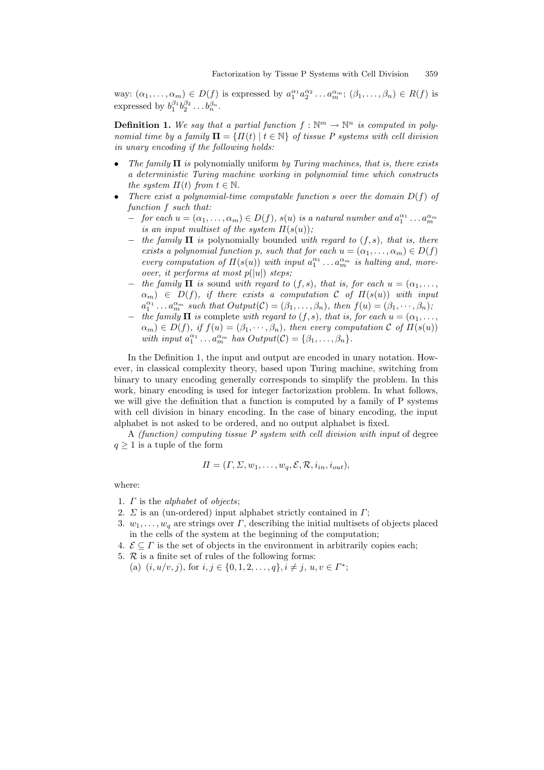way:  $(\alpha_1,\ldots,\alpha_m)\in D(f)$  is expressed by  $a_1^{\alpha_1}a_2^{\alpha_2}\ldots a_m^{\alpha_m}$ ;  $(\beta_1,\ldots,\beta_n)\in R(f)$  is expressed by  $b_1^{\beta_1} b_2^{\beta_2} \dots b_n^{\beta_n}$ .

**Definition 1.** We say that a partial function  $f : \mathbb{N}^m \to \mathbb{N}^n$  is computed in polynomial time by a family  $\Pi = \{ \Pi(t) \mid t \in \mathbb{N} \}$  of tissue P systems with cell division in unary encoding if the following holds:

- The family  $\Pi$  is polynomially uniform by Turing machines, that is, there exists a deterministic Turing machine working in polynomial time which constructs the system  $\Pi(t)$  from  $t \in \mathbb{N}$ .
- There exist a polynomial-time computable function s over the domain  $D(f)$  of function f such that:
	- $-$  for each  $u = (α_1, …, α_m) ∈ D(f)$ ,  $s(u)$  is a natural number and  $a_1^{α_1} … a_m^{α_m}$ is an input multiset of the system  $\Pi(s(u))$ ;
	- $-$  the family  $\Pi$  is polynomially bounded with regard to  $(f, s)$ , that is, there exists a polynomial function p, such that for each  $u = (\alpha_1, \dots, \alpha_m) \in D(f)$ every computation of  $\Pi(s(u))$  with input  $a_1^{\alpha_1} \ldots a_m^{\alpha_m}$  is halting and, moreover, it performs at most  $p(|u|)$  steps;
	- the family  $\Pi$  is sound with regard to  $(f, s)$ , that is, for each  $u = (\alpha_1, \ldots,$  $\alpha_m$ )  $\in D(f)$ , if there exists a computation C of  $\Pi(s(u))$  with input  $a_1^{\alpha_1} \dots a_m^{\alpha_m}$  such that  $Output(\mathcal{C}) = (\beta_1, \dots, \beta_n)$ , then  $f(u) = (\beta_1, \dots, \beta_n)$ ;
	- − the family  $\Pi$  is complete with regard to  $(f, s)$ , that is, for each  $u = (\alpha_1, \ldots, \alpha_n)$  $\alpha_m$ )  $\in$   $D(f)$ , if  $f(u) = (\beta_1, \dots, \beta_n)$ , then every computation C of  $\Pi(s(u))$ with input  $a_1^{\alpha_1} \dots a_m^{\alpha_m}$  has  $Output(\mathcal{C}) = \{\beta_1, \dots, \beta_n\}.$

In the Definition 1, the input and output are encoded in unary notation. However, in classical complexity theory, based upon Turing machine, switching from binary to unary encoding generally corresponds to simplify the problem. In this work, binary encoding is used for integer factorization problem. In what follows, we will give the definition that a function is computed by a family of P systems with cell division in binary encoding. In the case of binary encoding, the input alphabet is not asked to be ordered, and no output alphabet is fixed.

A (function) computing tissue P system with cell division with input of degree  $q \geq 1$  is a tuple of the form

$$
\Pi = (\Gamma, \Sigma, w_1, \dots, w_q, \mathcal{E}, \mathcal{R}, i_{in}, i_{out}),
$$

where:

- 1. Γ is the alphabet of objects;
- 2.  $\Sigma$  is an (un-ordered) input alphabet strictly contained in  $\Gamma$ ;
- 3.  $w_1, \ldots, w_q$  are strings over  $\Gamma$ , describing the initial multisets of objects placed in the cells of the system at the beginning of the computation;
- 4.  $\mathcal{E} \subseteq \Gamma$  is the set of objects in the environment in arbitrarily copies each;
- 5.  $\mathcal R$  is a finite set of rules of the following forms:

(a)  $(i, u/v, j)$ , for  $i, j \in \{0, 1, 2, \ldots, q\}, i \neq j, u, v \in \Gamma^*;$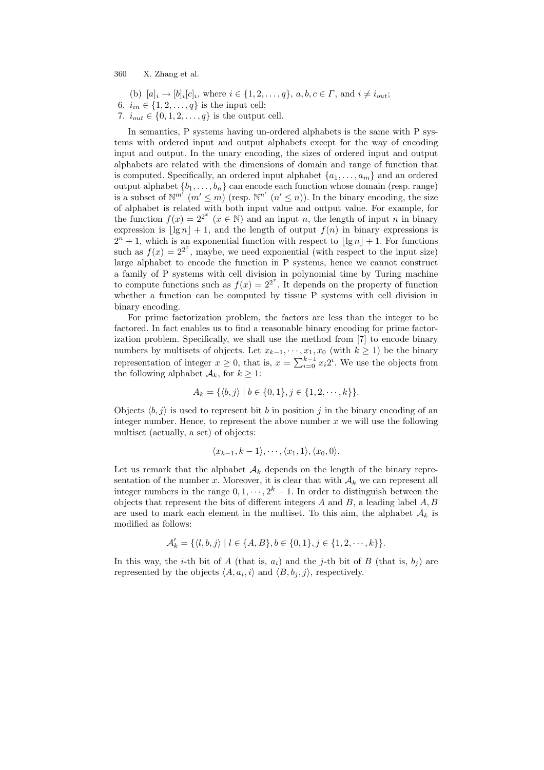(b)  $[a]_i \to [b]_i[c]_i$ , where  $i \in \{1, 2, ..., q\}$ ,  $a, b, c \in \Gamma$ , and  $i \neq i_{out}$ ; 6.  $i_{in} \in \{1, 2, ..., q\}$  is the input cell;

7.  $i_{out} \in \{0, 1, 2, ..., q\}$  is the output cell.

In semantics, P systems having un-ordered alphabets is the same with P systems with ordered input and output alphabets except for the way of encoding input and output. In the unary encoding, the sizes of ordered input and output alphabets are related with the dimensions of domain and range of function that is computed. Specifically, an ordered input alphabet  $\{a_1, \ldots, a_m\}$  and an ordered output alphabet  $\{b_1, \ldots, b_n\}$  can encode each function whose domain (resp. range) is a subset of  $\mathbb{N}^{m'}$   $(m' \leq m)$  (resp.  $\mathbb{N}^{n'}$   $(n' \leq n)$ ). In the binary encoding, the size of alphabet is related with both input value and output value. For example, for the function  $f(x) = 2^{2^x}$   $(x \in \mathbb{N})$  and an input n, the length of input n in binary expression is  $|\lg n| + 1$ , and the length of output  $f(n)$  in binary expressions is  $2^{n} + 1$ , which is an exponential function with respect to  $\lvert \lg n \rvert + 1$ . For functions such as  $f(x) = 2^{2^x}$ , maybe, we need exponential (with respect to the input size) large alphabet to encode the function in P systems, hence we cannot construct a family of P systems with cell division in polynomial time by Turing machine to compute functions such as  $f(x) = 2^{2^x}$ . It depends on the property of function whether a function can be computed by tissue P systems with cell division in binary encoding.

For prime factorization problem, the factors are less than the integer to be factored. In fact enables us to find a reasonable binary encoding for prime factorization problem. Specifically, we shall use the method from [7] to encode binary numbers by multisets of objects. Let  $x_{k-1}, \dots, x_1, x_0$  (with  $k \geq 1$ ) be the binary representation of integer  $x \ge 0$ , that is,  $x = \sum_{i=0}^{k-1} x_i 2^i$ . We use the objects from the following alphabet  $A_k$ , for  $k \geq 1$ :

$$
A_k = \{ \langle b, j \rangle \mid b \in \{0, 1\}, j \in \{1, 2, \cdots, k\} \}.
$$

Objects  $\langle b, j \rangle$  is used to represent bit b in position j in the binary encoding of an integer number. Hence, to represent the above number  $x$  we will use the following multiset (actually, a set) of objects:

$$
\langle x_{k-1}, k-1 \rangle, \cdots, \langle x_1, 1 \rangle, \langle x_0, 0 \rangle.
$$

Let us remark that the alphabet  $A_k$  depends on the length of the binary representation of the number x. Moreover, it is clear that with  $A_k$  we can represent all integer numbers in the range  $0, 1, \dots, 2^k - 1$ . In order to distinguish between the objects that represent the bits of different integers  $A$  and  $B$ , a leading label  $A, B$ are used to mark each element in the multiset. To this aim, the alphabet  $A_k$  is modified as follows:

$$
\mathcal{A}'_k = \{ \langle l, b, j \rangle \mid l \in \{A, B\}, b \in \{0, 1\}, j \in \{1, 2, \cdots, k\} \}.
$$

In this way, the *i*-th bit of A (that is,  $a_i$ ) and the *j*-th bit of B (that is,  $b_i$ ) are represented by the objects  $\langle A, a_i, i \rangle$  and  $\langle B, b_j, j \rangle$ , respectively.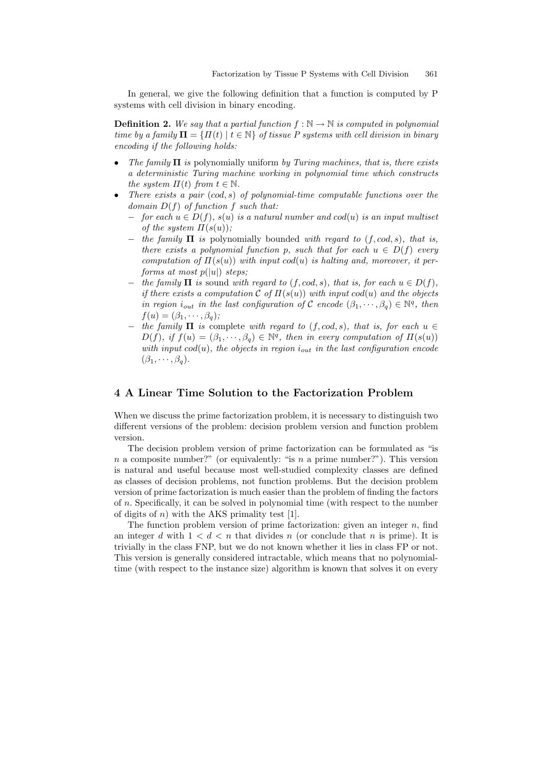In general, we give the following definition that a function is computed by P systems with cell division in binary encoding.

**Definition 2.** We say that a partial function  $f : \mathbb{N} \to \mathbb{N}$  is computed in polynomial time by a family  $\mathbf{\Pi} = \{ \Pi(t) \mid t \in \mathbb{N} \}$  of tissue P systems with cell division in binary encoding if the following holds:

- The family  $\Pi$  is polynomially uniform by Turing machines, that is, there exists a deterministic Turing machine working in polynomial time which constructs the system  $\Pi(t)$  from  $t \in \mathbb{N}$ .
- There exists a pair  $(cod, s)$  of polynomial-time computable functions over the domain  $D(f)$  of function f such that:
	- $-$  for each  $u \in D(f)$ ,  $s(u)$  is a natural number and  $cod(u)$  is an input multiset of the system  $\Pi(s(u))$ ;
	- $-$  the family  $\Pi$  is polynomially bounded with regard to  $(f, cod, s)$ , that is, there exists a polynomial function p, such that for each  $u \in D(f)$  every computation of  $\Pi(s(u))$  with input cod(u) is halting and, moreover, it performs at most  $p(|u|)$  steps;
	- $-$  the family  $\Pi$  is sound with regard to  $(f, cod, s)$ , that is, for each  $u \in D(f)$ , if there exists a computation C of  $\Pi(s(u))$  with input cod(u) and the objects in region  $i_{out}$  in the last configuration of C encode  $(\beta_1, \dots, \beta_q) \in \mathbb{N}^q$ , then  $f(u) = (\beta_1, \cdots, \beta_n);$
	- $-$  the family  $\Pi$  is complete with regard to  $(f, cod, s)$ , that is, for each  $u \in$  $D(f)$ , if  $f(u) = (\beta_1, \dots, \beta_q) \in \mathbb{N}^q$ , then in every computation of  $\Pi(s(u))$ with input  $cod(u)$ , the objects in region  $i_{out}$  in the last configuration encode  $(\beta_1, \cdots, \beta_q).$

## 4 A Linear Time Solution to the Factorization Problem

When we discuss the prime factorization problem, it is necessary to distinguish two different versions of the problem: decision problem version and function problem version.

The decision problem version of prime factorization can be formulated as "is n a composite number?" (or equivalently: "is n a prime number?"). This version is natural and useful because most well-studied complexity classes are defined as classes of decision problems, not function problems. But the decision problem version of prime factorization is much easier than the problem of finding the factors of n. Specifically, it can be solved in polynomial time (with respect to the number of digits of  $n$ ) with the AKS primality test [1].

The function problem version of prime factorization: given an integer  $n$ , find an integer d with  $1 < d < n$  that divides n (or conclude that n is prime). It is trivially in the class FNP, but we do not known whether it lies in class FP or not. This version is generally considered intractable, which means that no polynomialtime (with respect to the instance size) algorithm is known that solves it on every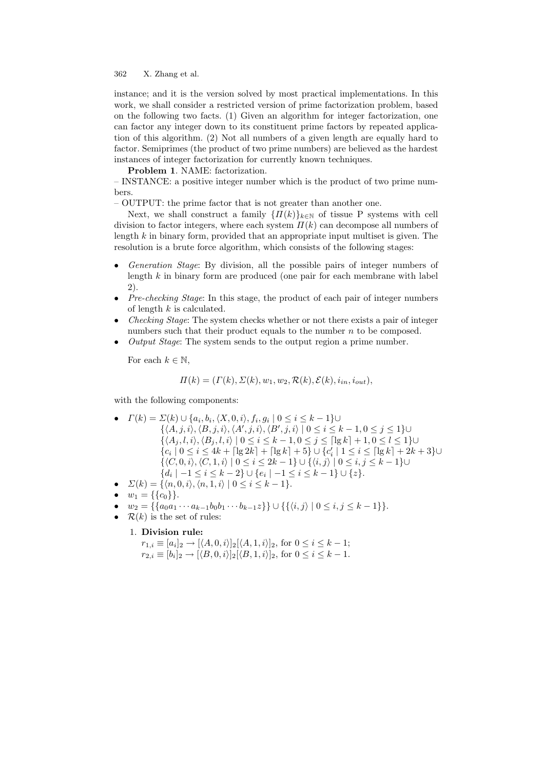instance; and it is the version solved by most practical implementations. In this work, we shall consider a restricted version of prime factorization problem, based on the following two facts. (1) Given an algorithm for integer factorization, one can factor any integer down to its constituent prime factors by repeated application of this algorithm. (2) Not all numbers of a given length are equally hard to factor. Semiprimes (the product of two prime numbers) are believed as the hardest instances of integer factorization for currently known techniques.

Problem 1. NAME: factorization.

– INSTANCE: a positive integer number which is the product of two prime numbers.

– OUTPUT: the prime factor that is not greater than another one.

Next, we shall construct a family  $\{ \Pi(k) \}_{k \in \mathbb{N}}$  of tissue P systems with cell division to factor integers, where each system  $\Pi(k)$  can decompose all numbers of length  $k$  in binary form, provided that an appropriate input multiset is given. The resolution is a brute force algorithm, which consists of the following stages:

- Generation Stage: By division, all the possible pairs of integer numbers of length k in binary form are produced (one pair for each membrane with label 2).
- Pre-checking Stage: In this stage, the product of each pair of integer numbers of length  $k$  is calculated.
- Checking Stage: The system checks whether or not there exists a pair of integer numbers such that their product equals to the number  $n$  to be composed.
- Output Stage: The system sends to the output region a prime number.

For each  $k \in \mathbb{N}$ ,

$$
\Pi(k) = (\Gamma(k), \Sigma(k), w_1, w_2, \mathcal{R}(k), \mathcal{E}(k), i_{in}, i_{out}),
$$

with the following components:

- $\Gamma(k) = \Sigma(k) \cup \{a_i, b_i, \langle X, 0, i \rangle, f_i, g_i \mid 0 \le i \le k 1\} \cup$ 
	- $\{\langle A, j, i \rangle, \langle B, j, i \rangle, \langle A', j, i \rangle, \langle B', j, i \rangle \mid 0 \leq i \leq k-1, 0 \leq j \leq 1\}$  $\{\langle A_j, l, i \rangle, \langle B_j, l, i \rangle \mid 0 \leq i \leq k - 1, 0 \leq j \leq \lceil \lg k \rceil + 1, 0 \leq l \leq 1\}$ ∪  ${c_i \mid 0 \le i \le 4k + \lceil \lg 2k \rceil + \lceil \lg k \rceil + 5} \cup {c'_i \mid 1 \le i \le \lceil \lg k \rceil + 2k + 3} \cup$  $\{\langle C, 0, i \rangle, \langle C, 1, i \rangle \mid 0 \leq i \leq 2k - 1\} \cup \{\langle i, j \rangle \mid 0 \leq i, j \leq k - 1\}$ ∪  $\{d_i \mid -1 \leq i \leq k-2\} \cup \{e_i \mid -1 \leq i \leq k-1\} \cup \{z\}.$
- $\sum(k) = \{ \langle n, 0, i \rangle, \langle n, 1, i \rangle \mid 0 \leq i \leq k 1 \}.$
- $w_1 = \{\{c_0\}\}.$
- $w_2 = \{ \{a_0a_1 \cdots a_{k-1}b_0b_1 \cdots b_{k-1}z \} \} \cup \{ \{ \langle i,j \rangle | 0 \le i,j \le k-1 \} \}.$
- $\mathcal{R}(k)$  is the set of rules:
	- 1. Division rule:

 $r_{1,i} \equiv [a_i]_2 \to [\langle A, 0, i \rangle]_2 [\langle A, 1, i \rangle]_2$ , for  $0 \le i \le k - 1$ ;  $r_{2,i} \equiv [b_i]_2 \rightarrow [\langle B, 0, i \rangle]_2 [\langle B, 1, i \rangle]_2$ , for  $0 \le i \le k - 1$ .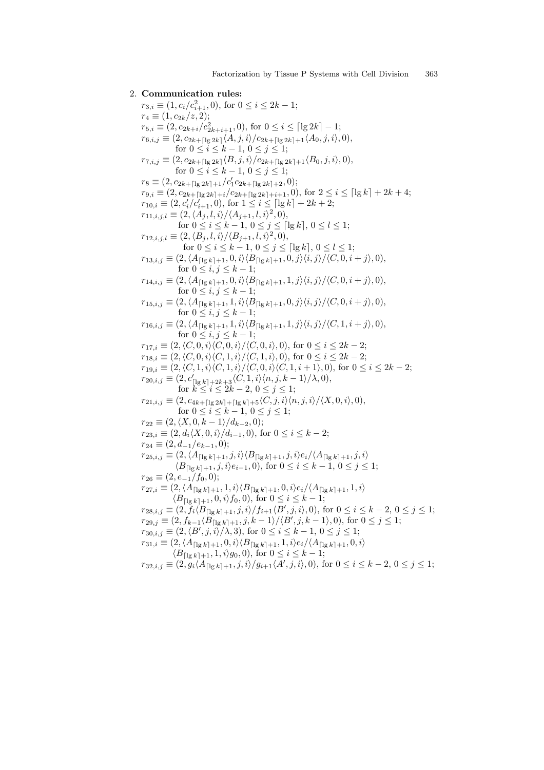2. Communication rules:  $r_{3,i} \equiv (1, c_i/c_{i+1}^2, 0)$ , for  $0 \le i \le 2k - 1$ ;  $r_4 \equiv (1, c_{2k}/z, 2);$  $r_{5,i} \equiv (2, c_{2k+i}/c_{2k+i+1}^2, 0)$ , for  $0 \le i \le \lceil \lg 2k \rceil - 1$ ;  $r_{6,i,j} \equiv (2, c_{2k+\lceil \lg 2k \rceil} \langle A, j, i \rangle / c_{2k+\lceil \lg 2k \rceil +1} \langle A_0, j, i \rangle, 0),$ for  $0 \le i \le k - 1, 0 \le j \le 1$ ;  $r_{7,i,j} \equiv (2, c_{2k+\lceil \lg 2k \rceil} \langle B, j, i \rangle / c_{2k+\lceil \lg 2k \rceil+1} \langle B_0, j, i \rangle, 0),$ for  $0 \le i \le k - 1, 0 \le j \le 1$ ;  $r_8 \equiv (2, c_{2k+\lceil \lg 2k \rceil + 1}/c'_1c_{2k+\lceil \lg 2k \rceil + 2}, 0);$  $r_{9,i} \equiv (2, c_{2k+\lceil \lg 2k \rceil+i}/c_{2k+\lceil \lg 2k \rceil+i+1}, 0)$ , for  $2 \leq i \leq \lceil \lg k \rceil + 2k + 4$ ;  $r_{10,i} \equiv (2, c_i'/c_{i+1}', 0)$ , for  $1 \leq i \leq \lceil \lg k \rceil + 2k + 2$ ;  $r_{11,i,j,l} \equiv (2, \langle A_j, l, i \rangle / \langle A_{j+1}, l, i \rangle^2, 0),$ for  $0 \le i \le k-1, 0 \le j \le \lceil \lg k \rceil, 0 \le l \le 1;$  $r_{12,i,j,l} \equiv (2, \langle B_j, l, i \rangle / \langle B_{j+1}, l, i \rangle^2, 0),$ for  $0 \le i \le k - 1, 0 \le j \le \lceil \lg k \rceil, 0 \le l \le 1;$  $r_{13,i,j} \equiv (2, \langle A_{\lceil \lg k \rceil +1}, 0, i \rangle \langle B_{\lceil \lg k \rceil +1}, 0, j \rangle \langle i, j \rangle / \langle C, 0, i + j \rangle, 0),$ for  $0 \leq i, j \leq k-1$ ;  $r_{14,i,j} \equiv (2, \langle A_{\lceil \lg k \rceil +1}, 0, i \rangle \langle B_{\lceil \lg k \rceil +1}, 1, j \rangle \langle i, j \rangle / \langle C, 0, i + j \rangle, 0),$ for  $0 \leq i, j \leq k-1$ ;  $r_{15,i,j} \equiv (2, \langle A_{\lceil \lg k \rceil +1}, 1, i \rangle \langle B_{\lceil \lg k \rceil +1}, 0, j \rangle \langle i, j \rangle / \langle C, 0, i + j \rangle, 0),$ for  $0 \leq i, j \leq k-1$ ;  $r_{16,i,j} \equiv (2, \langle A_{\lceil \lg k \rceil + 1}, 1, i \rangle \langle B_{\lceil \lg k \rceil + 1}, 1, j \rangle \langle i, j \rangle / \langle C, 1, i + j \rangle, 0),$ for  $0 \leq i, j \leq k-1$ ;  $r_{17,i} \equiv (2,\langle C, 0, i \rangle \langle C, 0, i \rangle / \langle C, 0, i \rangle, 0)$ , for  $0 \leq i \leq 2k - 2$ ;  $r_{18,i} \equiv (2,\langle C, 0, i \rangle \langle C, 1, i \rangle / \langle C, 1, i \rangle, 0)$ , for  $0 \leq i \leq 2k - 2$ ;  $r_{19,i} \equiv (2,\langle C, 1, i \rangle \langle C, 1, i \rangle / \langle C, 0, i \rangle \langle C, 1, i + 1 \rangle, 0),$  for  $0 \leq i \leq 2k-2$ ;  $r_{20,i,j} \equiv (2, c'_{\lceil \lg k \rceil + 2k+3} \langle C, 1, i \rangle \langle n, j, k-1 \rangle / \lambda, 0),$ for  $k \le i \le 2k - 2, 0 \le j \le 1$ ;  $r_{21,i,j} \equiv (2, c_{4k+ \lceil \lg 2k \rceil + \lceil \lg k \rceil + 5} \langle C, j, i \rangle \langle n, j, i \rangle / \langle X, 0, i \rangle, 0),$ for  $0 \le i \le k - 1, 0 \le j \le 1$ ;  $r_{22} \equiv (2, \langle X, 0, k-1 \rangle / d_{k-2}, 0);$  $r_{23,i} \equiv (2, d_i \langle X, 0, i \rangle / d_{i-1}, 0),$  for  $0 \leq i \leq k-2;$  $r_{24} \equiv (2, d_{-1}/e_{k-1}, 0);$  $r_{25,i,j} \equiv (2, \langle A_{\lceil \lg k \rceil+1}, j, i \rangle \langle B_{\lceil \lg k \rceil+1}, j, i \rangle e_i / \langle A_{\lceil \lg k \rceil+1}, j, i \rangle$  $\langle B_{\lceil \lg k \rceil + 1}, j, i \rangle e_{i-1}, 0$ , for  $0 \le i \le k - 1, 0 \le j \le 1$ ;  $r_{26} \equiv (2, e_{-1}/f_0, 0);$  $r_{27,i} \equiv (2,\langle A_{\lceil\lg k\rceil+1}, 1, i\rangle\langle B_{\lceil\lg k\rceil+1}, 0, i\rangle e_i/\langle A_{\lceil\lg k\rceil+1}, 1, i\rangle)$  $\langle B_{\lceil \lg k \rceil +1}, 0, i \rangle f_0, 0$ , for  $0 \leq i \leq k-1$ ;  $r_{28,i,j} \equiv (2, \tilde{f}_i \langle B_{\lceil \log k \rceil + 1}, j, i \rangle / f_{i+1} \langle B', j, i \rangle, 0)$ , for  $0 \le i \le k-2, 0 \le j \le 1$ ;  $r_{29,j} \equiv (2, f_{k-1}\langle B_{\lceil \lg k \rceil + 1}, j, k-1 \rangle / \langle B', j, k-1 \rangle, 0)$ , for  $0 \le j \le 1$ ;  $r_{30,i,j} \equiv (2,\langle B',j,i\rangle/\lambda, 3)$ , for  $0 \le i \le k-1, 0 \le j \le 1$ ;  $r_{31,i} \equiv (2, \langle A_{\lceil \lg k \rceil +1}, 0, i \rangle \langle B_{\lceil \lg k \rceil +1}, 1, i \rangle e_i / \langle A_{\lceil \lg k \rceil +1}, 0, i \rangle$  $\langle B_{\lceil \lg k \rceil + 1}, 1, i \rangle g_0, 0 \rangle$ , for  $0 \leq i \leq k - 1$ ;  $r_{32,i,j} \equiv (2, g_i \langle A_{\lceil \lg k \rceil + 1}, j, i \rangle / g_{i+1} \langle A', j, i \rangle, 0)$ , for  $0 \le i \le k - 2, 0 \le j \le 1$ ;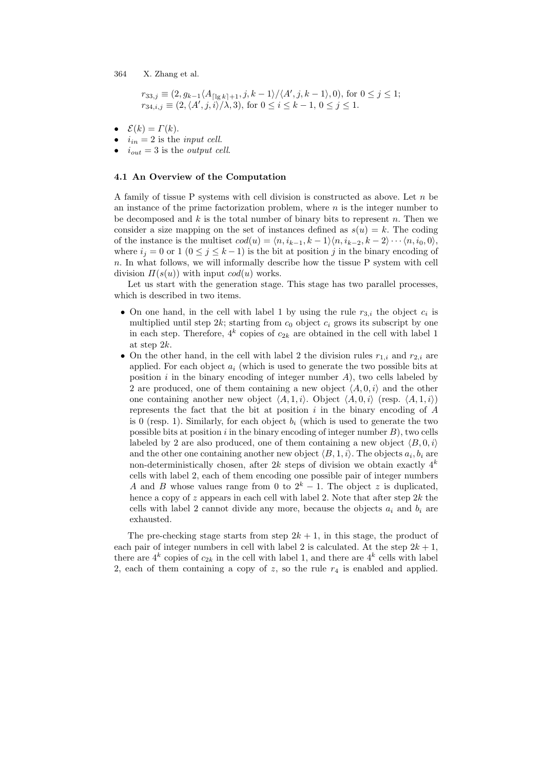$$
r_{33,j} \equiv (2, g_{k-1} \langle A_{\lceil \lg k \rceil + 1}, j, k - 1 \rangle / \langle A', j, k - 1 \rangle, 0)
$$
, for  $0 \leq j \leq 1$ ;  $r_{34,i,j} \equiv (2, \langle A', j, i \rangle / \lambda, 3)$ , for  $0 \leq i \leq k - 1$ ,  $0 \leq j \leq 1$ .

- $\mathcal{E}(k) = \Gamma(k).$
- $i_{in} = 2$  is the *input cell*.
- $i_{out} = 3$  is the *output cell*.

#### 4.1 An Overview of the Computation

A family of tissue P systems with cell division is constructed as above. Let  $n$  be an instance of the prime factorization problem, where  $n$  is the integer number to be decomposed and  $k$  is the total number of binary bits to represent n. Then we consider a size mapping on the set of instances defined as  $s(u) = k$ . The coding of the instance is the multiset  $cod(u) = \langle n, i_{k-1}, k-1 \rangle \langle n, i_{k-2}, k-2 \rangle \cdots \langle n, i_0, 0 \rangle$ , where  $i_j = 0$  or  $1 (0 \le j \le k-1)$  is the bit at position j in the binary encoding of n. In what follows, we will informally describe how the tissue P system with cell division  $\Pi(s(u))$  with input  $cod(u)$  works.

Let us start with the generation stage. This stage has two parallel processes, which is described in two items.

- On one hand, in the cell with label 1 by using the rule  $r_{3,i}$  the object  $c_i$  is multiplied until step  $2k$ ; starting from  $c_0$  object  $c_i$  grows its subscript by one in each step. Therefore,  $4^k$  copies of  $c_{2k}$  are obtained in the cell with label 1 at step 2k.
- On the other hand, in the cell with label 2 the division rules  $r_{1,i}$  and  $r_{2,i}$  are applied. For each object  $a_i$  (which is used to generate the two possible bits at position i in the binary encoding of integer number  $A$ ), two cells labeled by 2 are produced, one of them containing a new object  $\langle A, 0, i \rangle$  and the other one containing another new object  $\langle A, 1, i \rangle$ . Object  $\langle A, 0, i \rangle$  (resp.  $\langle A, 1, i \rangle$ ) represents the fact that the bit at position  $i$  in the binary encoding of  $A$ is 0 (resp. 1). Similarly, for each object  $b_i$  (which is used to generate the two possible bits at position  $i$  in the binary encoding of integer number  $B$ ), two cells labeled by 2 are also produced, one of them containing a new object  $\langle B, 0, i \rangle$ and the other one containing another new object  $\langle B, 1, i \rangle$ . The objects  $a_i, b_i$  are non-deterministically chosen, after  $2k$  steps of division we obtain exactly  $4^k$ cells with label 2, each of them encoding one possible pair of integer numbers A and B whose values range from 0 to  $2^k - 1$ . The object z is duplicated, hence a copy of z appears in each cell with label 2. Note that after step  $2k$  the cells with label 2 cannot divide any more, because the objects  $a_i$  and  $b_i$  are exhausted.

The pre-checking stage starts from step  $2k + 1$ , in this stage, the product of each pair of integer numbers in cell with label 2 is calculated. At the step  $2k + 1$ , there are  $4^k$  copies of  $c_{2k}$  in the cell with label 1, and there are  $4^k$  cells with label 2, each of them containing a copy of  $z$ , so the rule  $r<sub>4</sub>$  is enabled and applied.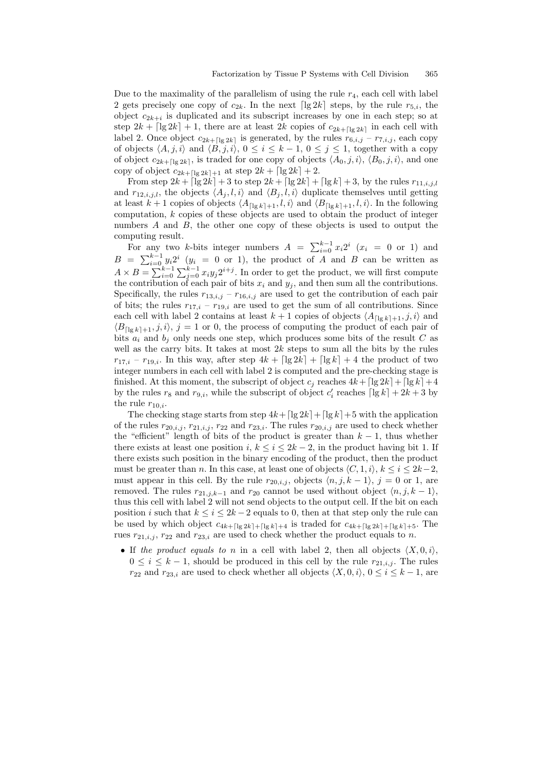Due to the maximality of the parallelism of using the rule  $r_4$ , each cell with label 2 gets precisely one copy of  $c_{2k}$ . In the next  $\lceil \lg 2k \rceil$  steps, by the rule  $r_{5,i}$ , the object  $c_{2k+i}$  is duplicated and its subscript increases by one in each step; so at step  $2k + \lfloor \lg 2k \rfloor + 1$ , there are at least  $2k$  copies of  $c_{2k+1}\log 2k$  in each cell with label 2. Once object  $c_{2k+\lceil\lg 2k\rceil}$  is generated, by the rules  $r_{6,i,j} - r_{7,i,j}$ , each copy of objects  $\langle A, j, i \rangle$  and  $\langle B, j, i \rangle$ ,  $0 \leq i \leq k - 1$ ,  $0 \leq j \leq 1$ , together with a copy of object  $c_{2k+[\lg 2k]}$ , is traded for one copy of objects  $\langle A_0, j, i \rangle$ ,  $\langle B_0, j, i \rangle$ , and one copy of object  $c_{2k+1|q \, 2k+1}$  at step  $2k + \lceil \lg 2k \rceil + 2$ .

From step  $2k + \lceil \lg 2k \rceil + 3$  to step  $2k + \lceil \lg 2k \rceil + \lceil \lg k \rceil + 3$ , by the rules  $r_{11,i,j,l}$ and  $r_{12,i,j,l}$ , the objects  $\langle A_j, l, i \rangle$  and  $\langle B_j, l, i \rangle$  duplicate themselves until getting at least  $k+1$  copies of objects  $\langle A_{\lceil \lg k \rceil+1}, l, i \rangle$  and  $\langle B_{\lceil \lg k \rceil+1}, l, i \rangle$ . In the following computation,  $k$  copies of these objects are used to obtain the product of integer numbers  $A$  and  $B$ , the other one copy of these objects is used to output the computing result.

for any two k-bits integer numbers  $A = \sum_{i=0}^{k-1} x_i 2^i$   $(x_i = 0 \text{ or } 1)$  and  $B = \sum_{i=0}^{k-1} y_i 2^i$   $(y_i = 0 \text{ or } 1)$ , the product of A and B can be written as  $A \times B = \sum_{i=0}^{k-1} \sum_{j=0}^{y_i} x_i y_j 2^{i+j}$ . In order to get the product, we will first compute the contribution of each pair of bits  $x_i$  and  $y_j$ , and then sum all the contributions. Specifically, the rules  $r_{13,i,j} - r_{16,i,j}$  are used to get the contribution of each pair of bits; the rules  $r_{17,i} - r_{19,i}$  are used to get the sum of all contributions. Since each cell with label 2 contains at least  $k + 1$  copies of objects  $\langle A_{\lceil \lg k \rceil + 1}, j, i \rangle$  and  $\langle B_{\lceil \lg k \rceil+1}, j, i \rangle$ ,  $j = 1$  or 0, the process of computing the product of each pair of bits  $a_i$  and  $b_j$  only needs one step, which produces some bits of the result C as well as the carry bits. It takes at most  $2k$  steps to sum all the bits by the rules  $r_{17,i}$  –  $r_{19,i}$ . In this way, after step  $4k + \lceil \lg 2k \rceil + \lceil \lg k \rceil + 4$  the product of two integer numbers in each cell with label 2 is computed and the pre-checking stage is finished. At this moment, the subscript of object  $c_i$  reaches  $4k + \lfloor \lg 2k \rfloor + \lfloor \lg k \rfloor + 4$ by the rules  $r_8$  and  $r_{9,i}$ , while the subscript of object  $c_i$  reaches  $\lceil \lg k \rceil + 2k + 3$  by the rule  $r_{10,i}$ .

The checking stage starts from step  $4k + \lfloor \lg 2k \rfloor + \lfloor \lg k \rfloor + 5$  with the application of the rules  $r_{20,i,j}$ ,  $r_{21,i,j}$ ,  $r_{22}$  and  $r_{23,i}$ . The rules  $r_{20,i,j}$  are used to check whether the "efficient" length of bits of the product is greater than  $k - 1$ , thus whether there exists at least one position i,  $k \leq i \leq 2k-2$ , in the product having bit 1. If there exists such position in the binary encoding of the product, then the product must be greater than n. In this case, at least one of objects  $\langle C, 1, i \rangle$ ,  $k \leq i \leq 2k-2$ , must appear in this cell. By the rule  $r_{20,i,j}$ , objects  $\langle n, j, k - 1 \rangle$ ,  $j = 0$  or 1, are removed. The rules  $r_{21,j,k-1}$  and  $r_{20}$  cannot be used without object  $\langle n, j, k-1 \rangle$ , thus this cell with label 2 will not send objects to the output cell. If the bit on each position i such that  $k \leq i \leq 2k-2$  equals to 0, then at that step only the rule can be used by which object  $c_{4k+1|g 2k|+|g k|+4}$  is traded for  $c_{4k+1|g 2k|+|g k|+5}$ . The rues  $r_{21,i,j}$ ,  $r_{22}$  and  $r_{23,i}$  are used to check whether the product equals to n.

• If the product equals to n in a cell with label 2, then all objects  $\langle X, 0, i \rangle$ ,  $0 \leq i \leq k-1$ , should be produced in this cell by the rule  $r_{21,i,j}$ . The rules  $r_{22}$  and  $r_{23,i}$  are used to check whether all objects  $\langle X, 0, i \rangle$ ,  $0 \le i \le k - 1$ , are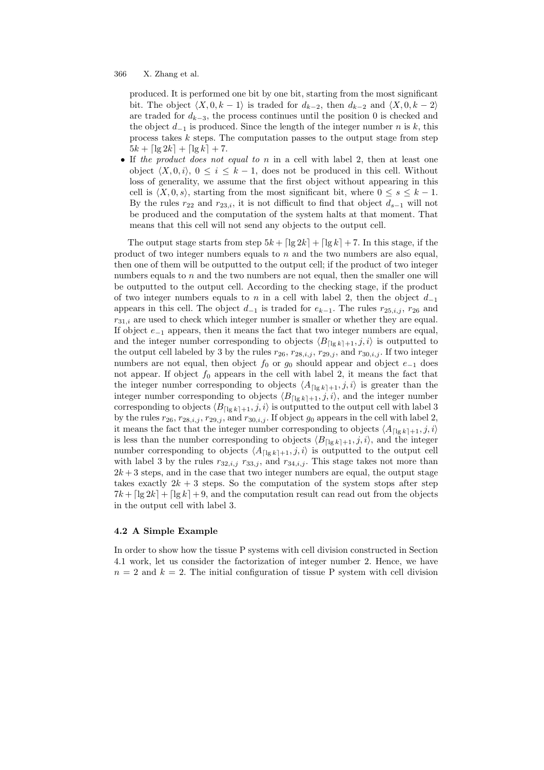produced. It is performed one bit by one bit, starting from the most significant bit. The object  $\langle X, 0, k - 1 \rangle$  is traded for  $d_{k-2}$ , then  $d_{k-2}$  and  $\langle X, 0, k - 2 \rangle$ are traded for  $d_{k-3}$ , the process continues until the position 0 is checked and the object  $d_{-1}$  is produced. Since the length of the integer number n is k, this process takes  $k$  steps. The computation passes to the output stage from step  $5k + \lceil \lg 2k \rceil + \lceil \lg k \rceil + 7.$ 

• If the product does not equal to  $n$  in a cell with label 2, then at least one object  $\langle X, 0, i \rangle$ ,  $0 \leq i \leq k - 1$ , does not be produced in this cell. Without loss of generality, we assume that the first object without appearing in this cell is  $\langle X, 0, s \rangle$ , starting from the most significant bit, where  $0 \leq s \leq k - 1$ . By the rules  $r_{22}$  and  $r_{23,i}$ , it is not difficult to find that object  $d_{s-1}$  will not be produced and the computation of the system halts at that moment. That means that this cell will not send any objects to the output cell.

The output stage starts from step  $5k + \lceil \lg 2k \rceil + \lceil \lg k \rceil + 7$ . In this stage, if the product of two integer numbers equals to n and the two numbers are also equal, then one of them will be outputted to the output cell; if the product of two integer numbers equals to  $n$  and the two numbers are not equal, then the smaller one will be outputted to the output cell. According to the checking stage, if the product of two integer numbers equals to n in a cell with label 2, then the object  $d_{-1}$ appears in this cell. The object  $d_{-1}$  is traded for  $e_{k-1}$ . The rules  $r_{25,i,j}$ ,  $r_{26}$  and  $r_{31,i}$  are used to check which integer number is smaller or whether they are equal. If object  $e_{-1}$  appears, then it means the fact that two integer numbers are equal, and the integer number corresponding to objects  $\langle B_{\lceil \lg k \rceil +1}, j, i \rangle$  is outputted to the output cell labeled by 3 by the rules  $r_{26}$ ,  $r_{28,i,j}$ ,  $r_{29,j}$ , and  $r_{30,i,j}$ . If two integer numbers are not equal, then object  $f_0$  or  $g_0$  should appear and object  $e_{-1}$  does not appear. If object  $f_0$  appears in the cell with label 2, it means the fact that the integer number corresponding to objects  $\langle A_{\lceil \lg k \rceil+1}, j, i \rangle$  is greater than the integer number corresponding to objects  $\langle B_{\lceil \lg k \rceil+1}, j, i \rangle$ , and the integer number corresponding to objects  $\langle B_{\lceil \lg k \rceil+1}, j, i \rangle$  is outputted to the output cell with label 3 by the rules  $r_{26}$ ,  $r_{28,i,j}$ ,  $r_{29,j}$ , and  $r_{30,i,j}$ . If object  $g_0$  appears in the cell with label 2, it means the fact that the integer number corresponding to objects  $\langle A_{\lceil \lg k \rceil+1}, j, i \rangle$ is less than the number corresponding to objects  $\langle B_{\lceil \lg k \rceil +1}, j, i \rangle$ , and the integer number corresponding to objects  $\langle A_{\lceil \lg k \rceil +1}, j, i \rangle$  is outputted to the output cell with label 3 by the rules  $r_{32,i,j}$   $r_{33,j}$ , and  $r_{34,i,j}$ . This stage takes not more than  $2k+3$  steps, and in the case that two integer numbers are equal, the output stage takes exactly  $2k + 3$  steps. So the computation of the system stops after step  $7k + \lceil \lg 2k \rceil + \lceil \lg k \rceil + 9$ , and the computation result can read out from the objects in the output cell with label 3.

#### 4.2 A Simple Example

In order to show how the tissue P systems with cell division constructed in Section 4.1 work, let us consider the factorization of integer number 2. Hence, we have  $n = 2$  and  $k = 2$ . The initial configuration of tissue P system with cell division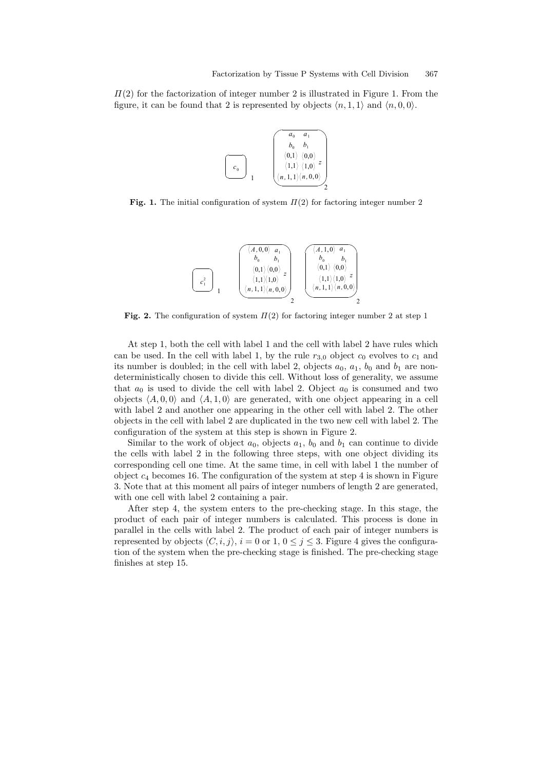$\Pi(2)$  for the factorization of integer number 2 is illustrated in Figure 1. From the figure, it can be found that 2 is represented by objects  $\langle n, 1, 1 \rangle$  and  $\langle n, 0, 0 \rangle$ .



Fig. 1. The initial configuration of system  $\Pi(2)$  for factoring integer number 2



Fig. 2. The configuration of system  $\Pi(2)$  for factoring integer number 2 at step 1

At step 1, both the cell with label 1 and the cell with label 2 have rules which can be used. In the cell with label 1, by the rule  $r_{3,0}$  object  $c_0$  evolves to  $c_1$  and its number is doubled; in the cell with label 2, objects  $a_0$ ,  $a_1$ ,  $b_0$  and  $b_1$  are nondeterministically chosen to divide this cell. Without loss of generality, we assume that  $a_0$  is used to divide the cell with label 2. Object  $a_0$  is consumed and two objects  $\langle A, 0, 0 \rangle$  and  $\langle A, 1, 0 \rangle$  are generated, with one object appearing in a cell with label 2 and another one appearing in the other cell with label 2. The other objects in the cell with label 2 are duplicated in the two new cell with label 2. The configuration of the system at this step is shown in Figure 2.

Similar to the work of object  $a_0$ , objects  $a_1$ ,  $b_0$  and  $b_1$  can continue to divide the cells with label 2 in the following three steps, with one object dividing its corresponding cell one time. At the same time, in cell with label 1 the number of object  $c_4$  becomes 16. The configuration of the system at step 4 is shown in Figure 3. Note that at this moment all pairs of integer numbers of length 2 are generated, with one cell with label 2 containing a pair.

After step 4, the system enters to the pre-checking stage. In this stage, the product of each pair of integer numbers is calculated. This process is done in parallel in the cells with label 2. The product of each pair of integer numbers is represented by objects  $\langle C, i, j \rangle$ ,  $i = 0$  or 1,  $0 \le j \le 3$ . Figure 4 gives the configuration of the system when the pre-checking stage is finished. The pre-checking stage finishes at step 15.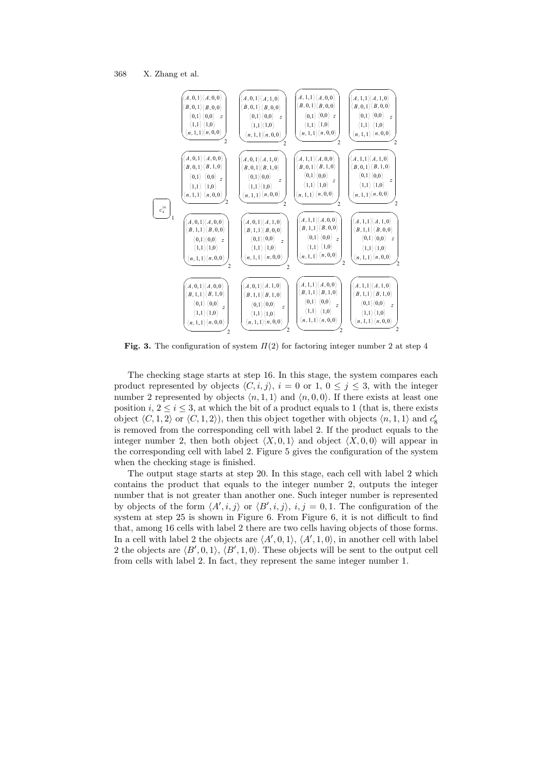

Fig. 3. The configuration of system  $\Pi(2)$  for factoring integer number 2 at step 4

The checking stage starts at step 16. In this stage, the system compares each product represented by objects  $\langle C, i, j \rangle$ ,  $i = 0$  or 1,  $0 \leq j \leq 3$ , with the integer number 2 represented by objects  $\langle n, 1, 1 \rangle$  and  $\langle n, 0, 0 \rangle$ . If there exists at least one position i,  $2 \le i \le 3$ , at which the bit of a product equals to 1 (that is, there exists object  $\langle C, 1, 2 \rangle$  or  $\langle C, 1, 2 \rangle$ ), then this object together with objects  $\langle n, 1, 1 \rangle$  and  $c'_8$ is removed from the corresponding cell with label 2. If the product equals to the integer number 2, then both object  $\langle X, 0, 1 \rangle$  and object  $\langle X, 0, 0 \rangle$  will appear in the corresponding cell with label 2. Figure 5 gives the configuration of the system when the checking stage is finished.

The output stage starts at step 20. In this stage, each cell with label 2 which contains the product that equals to the integer number 2, outputs the integer number that is not greater than another one. Such integer number is represented by objects of the form  $\langle A', i, j \rangle$  or  $\langle B', i, j \rangle$ ,  $i, j = 0, 1$ . The configuration of the system at step 25 is shown in Figure 6. From Figure 6, it is not difficult to find that, among 16 cells with label 2 there are two cells having objects of those forms. In a cell with label 2 the objects are  $\langle A', 0, 1 \rangle$ ,  $\langle A', 1, 0 \rangle$ , in another cell with label 2 the objects are  $\langle B', 0, 1 \rangle$ ,  $\langle B', 1, 0 \rangle$ . These objects will be sent to the output cell from cells with label 2. In fact, they represent the same integer number 1.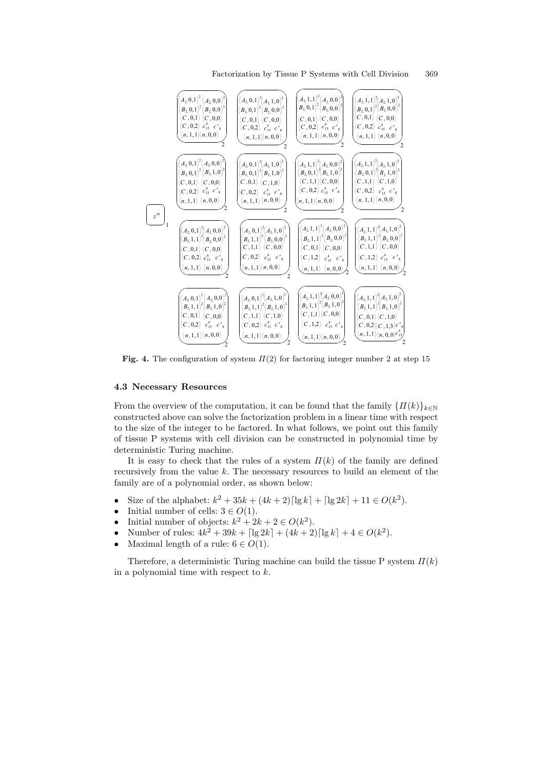

Fig. 4. The configuration of system  $\Pi(2)$  for factoring integer number 2 at step 15

#### 4.3 Necessary Resources

From the overview of the computation, it can be found that the family  ${ \prod(k) \}_{k\in\mathbb{N}}$ constructed above can solve the factorization problem in a linear time with respect to the size of the integer to be factored. In what follows, we point out this family of tissue P systems with cell division can be constructed in polynomial time by deterministic Turing machine.

It is easy to check that the rules of a system  $\Pi(k)$  of the family are defined recursively from the value  $k$ . The necessary resources to build an element of the family are of a polynomial order, as shown below:

- Size of the alphabet:  $k^2 + 35k + (4k+2) [\lg k] + [\lg 2k] + 11 \in O(k^2)$ .
- Initial number of cells:  $3 \in O(1)$ .
- Initial number of objects:  $k^2 + 2k + 2 \in O(k^2)$ .
- Number of rules:  $4k^2 + 39k + \lfloor \lg 2k \rfloor + (4k+2) \lfloor \lg k \rfloor + 4 \in O(k^2)$ .
- Maximal length of a rule:  $6 \in O(1)$ .

Therefore, a deterministic Turing machine can build the tissue P system  $\Pi(k)$ in a polynomial time with respect to k.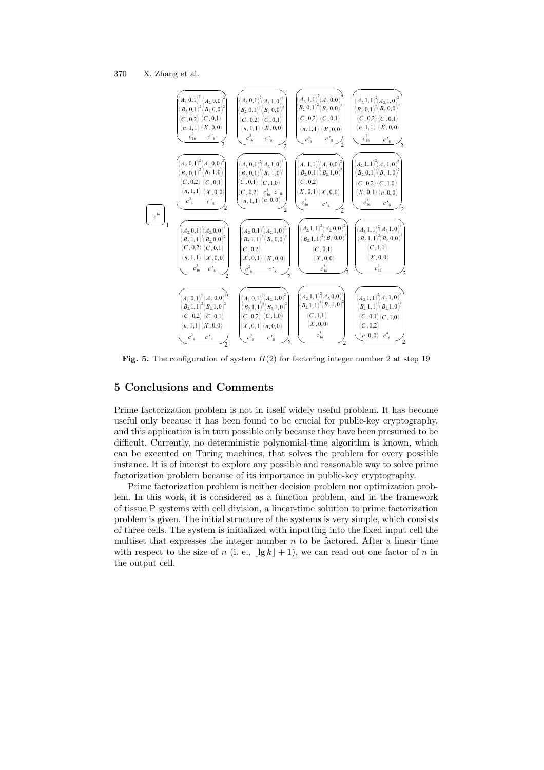

Fig. 5. The configuration of system  $\Pi(2)$  for factoring integer number 2 at step 19

# 5 Conclusions and Comments

Prime factorization problem is not in itself widely useful problem. It has become useful only because it has been found to be crucial for public-key cryptography, and this application is in turn possible only because they have been presumed to be difficult. Currently, no deterministic polynomial-time algorithm is known, which can be executed on Turing machines, that solves the problem for every possible instance. It is of interest to explore any possible and reasonable way to solve prime factorization problem because of its importance in public-key cryptography.

Prime factorization problem is neither decision problem nor optimization problem. In this work, it is considered as a function problem, and in the framework of tissue P systems with cell division, a linear-time solution to prime factorization problem is given. The initial structure of the systems is very simple, which consists of three cells. The system is initialized with inputting into the fixed input cell the multiset that expresses the integer number  $n$  to be factored. After a linear time with respect to the size of n (i. e.,  $|\lg k| + 1$ ), we can read out one factor of n in the output cell.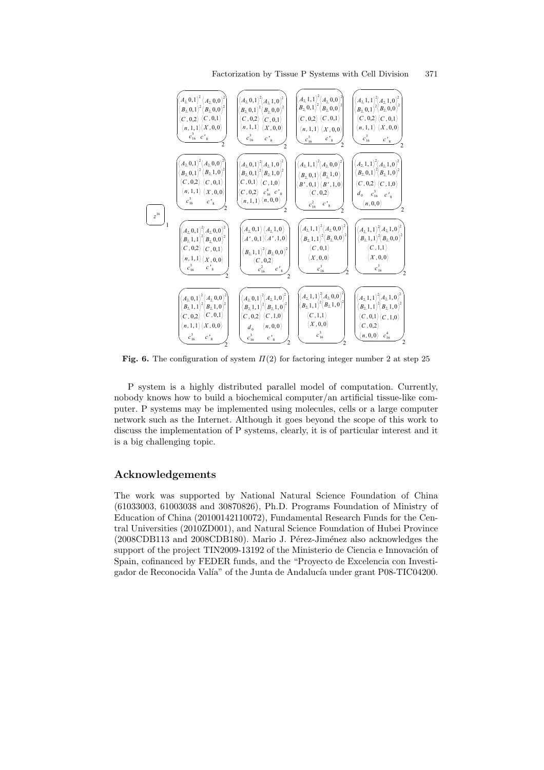

Fig. 6. The configuration of system  $\Pi(2)$  for factoring integer number 2 at step 25

P system is a highly distributed parallel model of computation. Currently, nobody knows how to build a biochemical computer/an artificial tissue-like computer. P systems may be implemented using molecules, cells or a large computer network such as the Internet. Although it goes beyond the scope of this work to discuss the implementation of P systems, clearly, it is of particular interest and it is a big challenging topic.

# Acknowledgements

The work was supported by National Natural Science Foundation of China (61033003, 61003038 and 30870826), Ph.D. Programs Foundation of Ministry of Education of China (20100142110072), Fundamental Research Funds for the Central Universities (2010ZD001), and Natural Science Foundation of Hubei Province  $(2008 \text{CDB113}$  and  $2008 \text{CDB180})$ . Mario J. Pérez-Jiménez also acknowledges the support of the project TIN2009-13192 of the Ministerio de Ciencia e Innovación of Spain, cofinanced by FEDER funds, and the "Proyecto de Excelencia con Investigador de Reconocida Valía" of the Junta de Andalucía under grant P08-TIC04200.